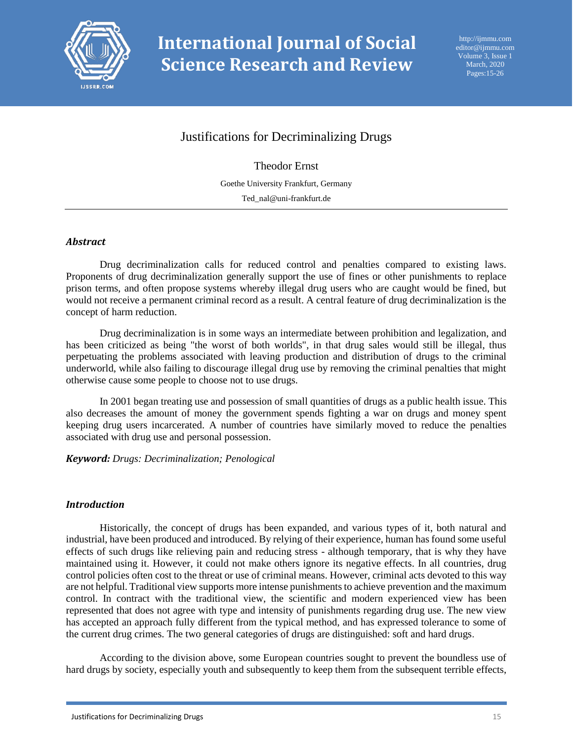

# Justifications for Decriminalizing Drugs

Theodor Ernst

Goethe University Frankfurt, Germany Ted\_nal@uni-frankfurt.de

# *Abstract*

Drug decriminalization calls for reduced control and penalties compared to existing laws. Proponents of drug decriminalization generally support the use of fines or other punishments to replace prison terms, and often propose systems whereby illegal drug users who are caught would be fined, but would not receive a permanent criminal record as a result. A central feature of drug decriminalization is the concept of harm reduction.

Drug decriminalization is in some ways an intermediate between prohibition and legalization, and has been criticized as being "the worst of both worlds", in that drug sales would still be illegal, thus perpetuating the problems associated with leaving production and distribution of drugs to the criminal underworld, while also failing to discourage illegal drug use by removing the criminal penalties that might otherwise cause some people to choose not to use drugs.

In 2001 began treating use and possession of small quantities of drugs as a public health issue. This also decreases the amount of money the government spends fighting a war on drugs and money spent keeping drug users incarcerated. A number of countries have similarly moved to reduce the penalties associated with drug use and personal possession.

*Keyword: Drugs: Decriminalization; Penological*

# *Introduction*

Historically, the concept of drugs has been expanded, and various types of it, both natural and industrial, have been produced and introduced. By relying of their experience, human has found some useful effects of such drugs like relieving pain and reducing stress - although temporary, that is why they have maintained using it. However, it could not make others ignore its negative effects. In all countries, drug control policies often cost to the threat or use of criminal means. However, criminal acts devoted to this way are not helpful. Traditional view supports more intense punishments to achieve prevention and the maximum control. In contract with the traditional view, the scientific and modern experienced view has been represented that does not agree with type and intensity of punishments regarding drug use. The new view has accepted an approach fully different from the typical method, and has expressed tolerance to some of the current drug crimes. The two general categories of drugs are distinguished: soft and hard drugs.

According to the division above, some European countries sought to prevent the boundless use of hard drugs by society, especially youth and subsequently to keep them from the subsequent terrible effects,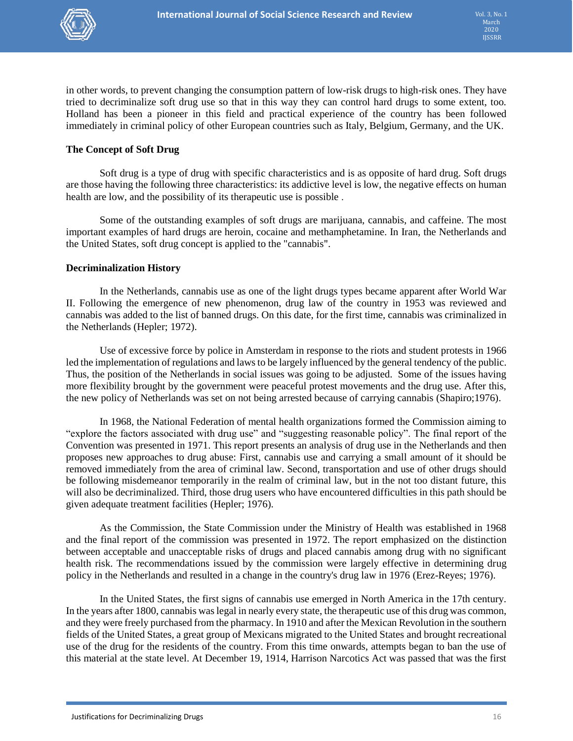

in other words, to prevent changing the consumption pattern of low-risk drugs to high-risk ones. They have tried to decriminalize soft drug use so that in this way they can control hard drugs to some extent, too. Holland has been a pioneer in this field and practical experience of the country has been followed immediately in criminal policy of other European countries such as Italy, Belgium, Germany, and the UK.

# **The Concept of Soft Drug**

Soft drug is a type of drug with specific characteristics and is as opposite of hard drug. Soft drugs are those having the following three characteristics: its addictive level is low, the negative effects on human health are low, and the possibility of its therapeutic use is possible .

Some of the outstanding examples of soft drugs are marijuana, cannabis, and caffeine. The most important examples of hard drugs are heroin, cocaine and methamphetamine. In Iran, the Netherlands and the United States, soft drug concept is applied to the "cannabis".

# **Decriminalization History**

In the Netherlands, cannabis use as one of the light drugs types became apparent after World War II. Following the emergence of new phenomenon, drug law of the country in 1953 was reviewed and cannabis was added to the list of banned drugs. On this date, for the first time, cannabis was criminalized in the Netherlands (Hepler; 1972).

Use of excessive force by police in Amsterdam in response to the riots and student protests in 1966 led the implementation of regulations and laws to be largely influenced by the general tendency of the public. Thus, the position of the Netherlands in social issues was going to be adjusted. Some of the issues having more flexibility brought by the government were peaceful protest movements and the drug use. After this, the new policy of Netherlands was set on not being arrested because of carrying cannabis (Shapiro;1976).

In 1968, the National Federation of mental health organizations formed the Commission aiming to "explore the factors associated with drug use" and "suggesting reasonable policy". The final report of the Convention was presented in 1971. This report presents an analysis of drug use in the Netherlands and then proposes new approaches to drug abuse: First, cannabis use and carrying a small amount of it should be removed immediately from the area of criminal law. Second, transportation and use of other drugs should be following misdemeanor temporarily in the realm of criminal law, but in the not too distant future, this will also be decriminalized. Third, those drug users who have encountered difficulties in this path should be given adequate treatment facilities (Hepler; 1976).

As the Commission, the State Commission under the Ministry of Health was established in 1968 and the final report of the commission was presented in 1972. The report emphasized on the distinction between acceptable and unacceptable risks of drugs and placed cannabis among drug with no significant health risk. The recommendations issued by the commission were largely effective in determining drug policy in the Netherlands and resulted in a change in the country's drug law in 1976 (Erez-Reyes; 1976).

In the United States, the first signs of cannabis use emerged in North America in the 17th century. In the years after 1800, cannabis was legal in nearly every state, the therapeutic use of this drug was common, and they were freely purchased from the pharmacy. In 1910 and after the Mexican Revolution in the southern fields of the United States, a great group of Mexicans migrated to the United States and brought recreational use of the drug for the residents of the country. From this time onwards, attempts began to ban the use of this material at the state level. At December 19, 1914, Harrison Narcotics Act was passed that was the first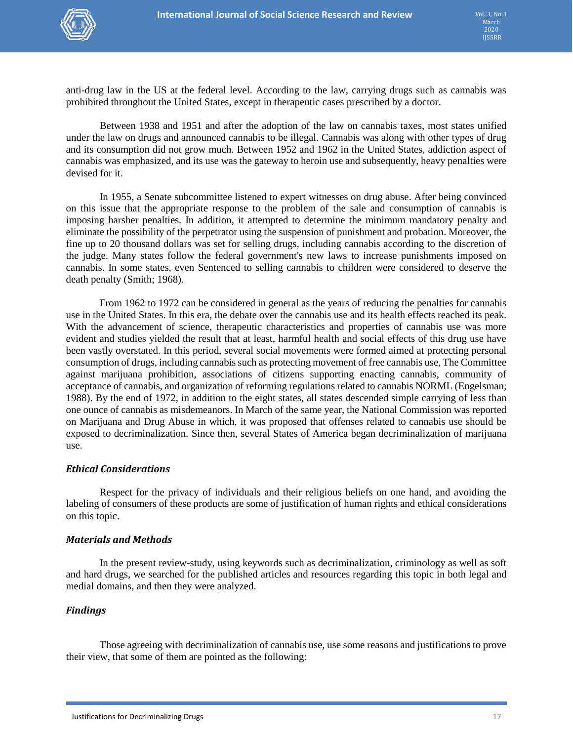

anti-drug law in the US at the federal level. According to the law, carrying drugs such as cannabis was prohibited throughout the United States, except in therapeutic cases prescribed by a doctor.

Between 1938 and 1951 and after the adoption of the law on cannabis taxes, most states unified under the law on drugs and announced cannabis to be illegal. Cannabis was along with other types of drug and its consumption did not grow much. Between 1952 and 1962 in the United States, addiction aspect of cannabis was emphasized, and its use was the gateway to heroin use and subsequently, heavy penalties were devised for it.

In 1955, a Senate subcommittee listened to expert witnesses on drug abuse. After being convinced on this issue that the appropriate response to the problem of the sale and consumption of cannabis is imposing harsher penalties. In addition, it attempted to determine the minimum mandatory penalty and eliminate the possibility of the perpetrator using the suspension of punishment and probation. Moreover, the fine up to 20 thousand dollars was set for selling drugs, including cannabis according to the discretion of the judge. Many states follow the federal government's new laws to increase punishments imposed on cannabis. In some states, even Sentenced to selling cannabis to children were considered to deserve the death penalty (Smith; 1968).

From 1962 to 1972 can be considered in general as the years of reducing the penalties for cannabis use in the United States. In this era, the debate over the cannabis use and its health effects reached its peak. With the advancement of science, therapeutic characteristics and properties of cannabis use was more evident and studies yielded the result that at least, harmful health and social effects of this drug use have been vastly overstated. In this period, several social movements were formed aimed at protecting personal consumption of drugs, including cannabis such as protecting movement of free cannabis use, The Committee against marijuana prohibition, associations of citizens supporting enacting cannabis, community of acceptance of cannabis, and organization of reforming regulations related to cannabis NORML (Engelsman; 1988). By the end of 1972, in addition to the eight states, all states descended simple carrying of less than one ounce of cannabis as misdemeanors. In March of the same year, the National Commission was reported on Marijuana and Drug Abuse in which, it was proposed that offenses related to cannabis use should be exposed to decriminalization. Since then, several States of America began decriminalization of marijuana use.

# *Ethical Considerations*

Respect for the privacy of individuals and their religious beliefs on one hand, and avoiding the labeling of consumers of these products are some of justification of human rights and ethical considerations on this topic.

# *Materials and Methods*

In the present review-study, using keywords such as decriminalization, criminology as well as soft and hard drugs, we searched for the published articles and resources regarding this topic in both legal and medial domains, and then they were analyzed.

# *Findings*

Those agreeing with decriminalization of cannabis use, use some reasons and justifications to prove their view, that some of them are pointed as the following: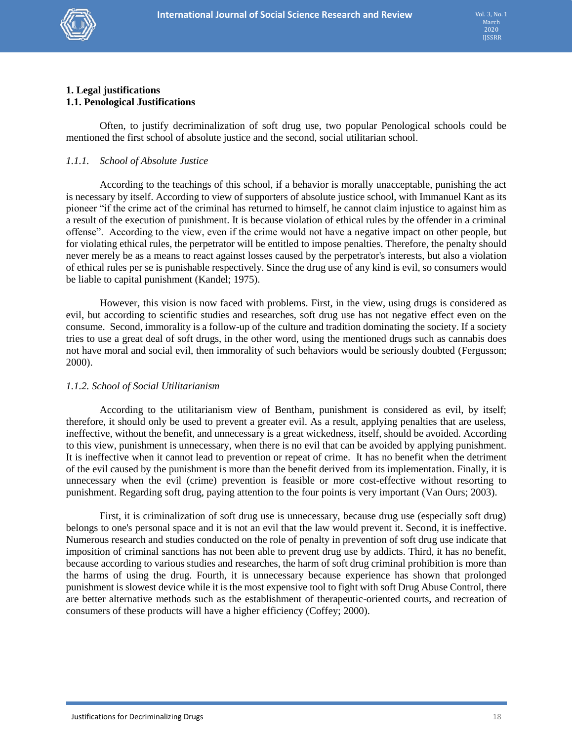

#### **1. Legal justifications 1.1. Penological Justifications**

Often, to justify decriminalization of soft drug use, two popular Penological schools could be mentioned the first school of absolute justice and the second, social utilitarian school.

# *1.1.1. School of Absolute Justice*

According to the teachings of this school, if a behavior is morally unacceptable, punishing the act is necessary by itself. According to view of supporters of absolute justice school, with Immanuel Kant as its pioneer "if the crime act of the criminal has returned to himself, he cannot claim injustice to against him as a result of the execution of punishment. It is because violation of ethical rules by the offender in a criminal offense". According to the view, even if the crime would not have a negative impact on other people, but for violating ethical rules, the perpetrator will be entitled to impose penalties. Therefore, the penalty should never merely be as a means to react against losses caused by the perpetrator's interests, but also a violation of ethical rules per se is punishable respectively. Since the drug use of any kind is evil, so consumers would be liable to capital punishment (Kandel; 1975).

However, this vision is now faced with problems. First, in the view, using drugs is considered as evil, but according to scientific studies and researches, soft drug use has not negative effect even on the consume. Second, immorality is a follow-up of the culture and tradition dominating the society. If a society tries to use a great deal of soft drugs, in the other word, using the mentioned drugs such as cannabis does not have moral and social evil, then immorality of such behaviors would be seriously doubted (Fergusson; 2000).

# *1.1.2. School of Social Utilitarianism*

According to the utilitarianism view of Bentham, punishment is considered as evil, by itself; therefore, it should only be used to prevent a greater evil. As a result, applying penalties that are useless, ineffective, without the benefit, and unnecessary is a great wickedness, itself, should be avoided. According to this view, punishment is unnecessary, when there is no evil that can be avoided by applying punishment. It is ineffective when it cannot lead to prevention or repeat of crime. It has no benefit when the detriment of the evil caused by the punishment is more than the benefit derived from its implementation. Finally, it is unnecessary when the evil (crime) prevention is feasible or more cost-effective without resorting to punishment. Regarding soft drug, paying attention to the four points is very important (Van Ours; 2003).

First, it is criminalization of soft drug use is unnecessary, because drug use (especially soft drug) belongs to one's personal space and it is not an evil that the law would prevent it. Second, it is ineffective. Numerous research and studies conducted on the role of penalty in prevention of soft drug use indicate that imposition of criminal sanctions has not been able to prevent drug use by addicts. Third, it has no benefit, because according to various studies and researches, the harm of soft drug criminal prohibition is more than the harms of using the drug. Fourth, it is unnecessary because experience has shown that prolonged punishment is slowest device while it is the most expensive tool to fight with soft Drug Abuse Control, there are better alternative methods such as the establishment of therapeutic-oriented courts, and recreation of consumers of these products will have a higher efficiency (Coffey; 2000).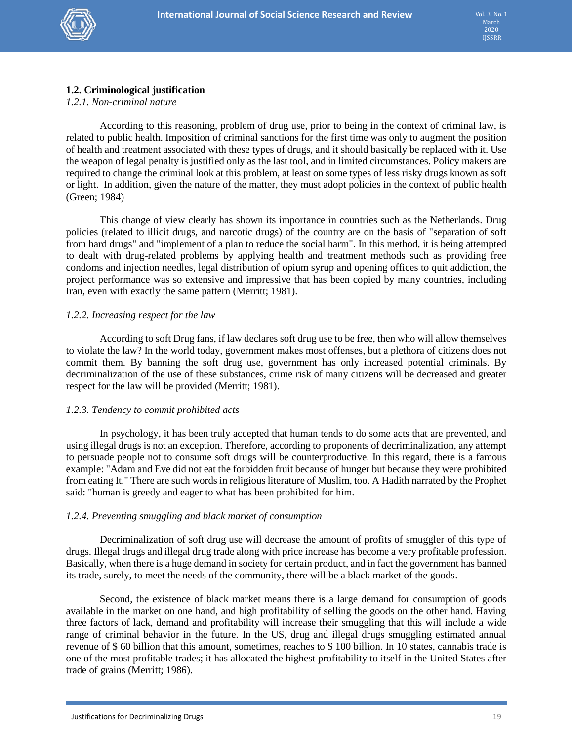

# **1.2. Criminological justification**

# *1.2.1. Non-criminal nature*

According to this reasoning, problem of drug use, prior to being in the context of criminal law, is related to public health. Imposition of criminal sanctions for the first time was only to augment the position of health and treatment associated with these types of drugs, and it should basically be replaced with it. Use the weapon of legal penalty is justified only as the last tool, and in limited circumstances. Policy makers are required to change the criminal look at this problem, at least on some types of less risky drugs known as soft or light. In addition, given the nature of the matter, they must adopt policies in the context of public health (Green; 1984)

This change of view clearly has shown its importance in countries such as the Netherlands. Drug policies (related to illicit drugs, and narcotic drugs) of the country are on the basis of "separation of soft from hard drugs" and "implement of a plan to reduce the social harm". In this method, it is being attempted to dealt with drug-related problems by applying health and treatment methods such as providing free condoms and injection needles, legal distribution of opium syrup and opening offices to quit addiction, the project performance was so extensive and impressive that has been copied by many countries, including Iran, even with exactly the same pattern (Merritt; 1981).

# *1.2.2. Increasing respect for the law*

According to soft Drug fans, if law declares soft drug use to be free, then who will allow themselves to violate the law? In the world today, government makes most offenses, but a plethora of citizens does not commit them. By banning the soft drug use, government has only increased potential criminals. By decriminalization of the use of these substances, crime risk of many citizens will be decreased and greater respect for the law will be provided (Merritt; 1981).

# *1.2.3. Tendency to commit prohibited acts*

In psychology, it has been truly accepted that human tends to do some acts that are prevented, and using illegal drugs is not an exception. Therefore, according to proponents of decriminalization, any attempt to persuade people not to consume soft drugs will be counterproductive. In this regard, there is a famous example: "Adam and Eve did not eat the forbidden fruit because of hunger but because they were prohibited from eating It." There are such words in religious literature of Muslim, too. A Hadith narrated by the Prophet said: "human is greedy and eager to what has been prohibited for him.

# *1.2.4. Preventing smuggling and black market of consumption*

Decriminalization of soft drug use will decrease the amount of profits of smuggler of this type of drugs. Illegal drugs and illegal drug trade along with price increase has become a very profitable profession. Basically, when there is a huge demand in society for certain product, and in fact the government has banned its trade, surely, to meet the needs of the community, there will be a black market of the goods.

Second, the existence of black market means there is a large demand for consumption of goods available in the market on one hand, and high profitability of selling the goods on the other hand. Having three factors of lack, demand and profitability will increase their smuggling that this will include a wide range of criminal behavior in the future. In the US, drug and illegal drugs smuggling estimated annual revenue of \$ 60 billion that this amount, sometimes, reaches to \$ 100 billion. In 10 states, cannabis trade is one of the most profitable trades; it has allocated the highest profitability to itself in the United States after trade of grains (Merritt; 1986).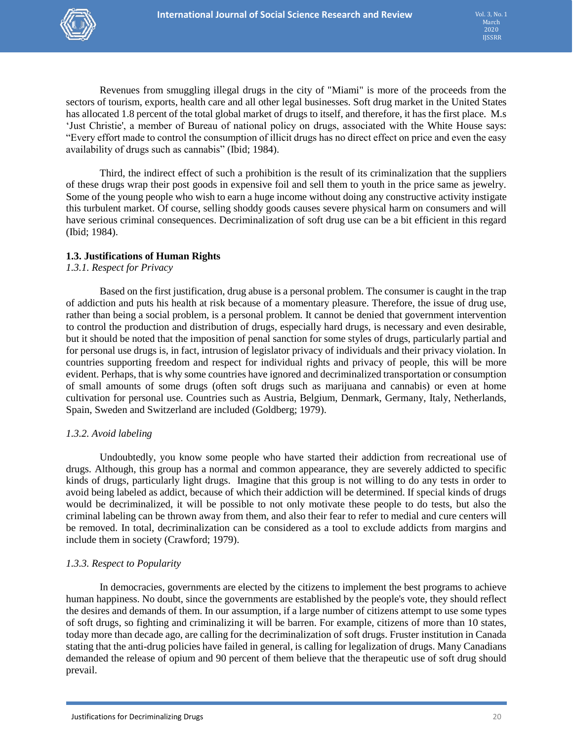

Revenues from smuggling illegal drugs in the city of "Miami" is more of the proceeds from the sectors of tourism, exports, health care and all other legal businesses. Soft drug market in the United States has allocated 1.8 percent of the total global market of drugs to itself, and therefore, it has the first place. M.s 'Just Christie', a member of Bureau of national policy on drugs, associated with the White House says: "Every effort made to control the consumption of illicit drugs has no direct effect on price and even the easy availability of drugs such as cannabis" (Ibid; 1984).

Third, the indirect effect of such a prohibition is the result of its criminalization that the suppliers of these drugs wrap their post goods in expensive foil and sell them to youth in the price same as jewelry. Some of the young people who wish to earn a huge income without doing any constructive activity instigate this turbulent market. Of course, selling shoddy goods causes severe physical harm on consumers and will have serious criminal consequences. Decriminalization of soft drug use can be a bit efficient in this regard (Ibid; 1984).

# **1.3. Justifications of Human Rights**

*1.3.1. Respect for Privacy*

Based on the first justification, drug abuse is a personal problem. The consumer is caught in the trap of addiction and puts his health at risk because of a momentary pleasure. Therefore, the issue of drug use, rather than being a social problem, is a personal problem. It cannot be denied that government intervention to control the production and distribution of drugs, especially hard drugs, is necessary and even desirable, but it should be noted that the imposition of penal sanction for some styles of drugs, particularly partial and for personal use drugs is, in fact, intrusion of legislator privacy of individuals and their privacy violation. In countries supporting freedom and respect for individual rights and privacy of people, this will be more evident. Perhaps, that is why some countries have ignored and decriminalized transportation or consumption of small amounts of some drugs (often soft drugs such as marijuana and cannabis) or even at home cultivation for personal use. Countries such as Austria, Belgium, Denmark, Germany, Italy, Netherlands, Spain, Sweden and Switzerland are included (Goldberg; 1979).

# *1.3.2. Avoid labeling*

Undoubtedly, you know some people who have started their addiction from recreational use of drugs. Although, this group has a normal and common appearance, they are severely addicted to specific kinds of drugs, particularly light drugs. Imagine that this group is not willing to do any tests in order to avoid being labeled as addict, because of which their addiction will be determined. If special kinds of drugs would be decriminalized, it will be possible to not only motivate these people to do tests, but also the criminal labeling can be thrown away from them, and also their fear to refer to medial and cure centers will be removed. In total, decriminalization can be considered as a tool to exclude addicts from margins and include them in society (Crawford; 1979).

# *1.3.3. Respect to Popularity*

In democracies, governments are elected by the citizens to implement the best programs to achieve human happiness. No doubt, since the governments are established by the people's vote, they should reflect the desires and demands of them. In our assumption, if a large number of citizens attempt to use some types of soft drugs, so fighting and criminalizing it will be barren. For example, citizens of more than 10 states, today more than decade ago, are calling for the decriminalization of soft drugs. Fruster institution in Canada stating that the anti-drug policies have failed in general, is calling for legalization of drugs. Many Canadians demanded the release of opium and 90 percent of them believe that the therapeutic use of soft drug should prevail.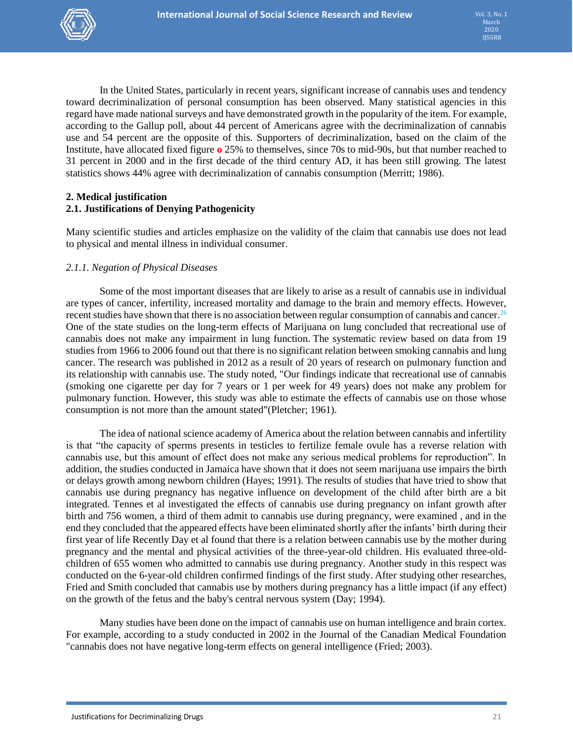

In the United States, particularly in recent years, significant increase of cannabis uses and tendency toward decriminalization of personal consumption has been observed. Many statistical agencies in this regard have made national surveys and have demonstrated growth in the popularity of the item. For example, according to the Gallup poll, about 44 percent of Americans agree with the decriminalization of cannabis use and 54 percent are the opposite of this. Supporters of decriminalization, based on the claim of the Institute, have allocated fixed figure **o** 25% to themselves, since 70s to mid-90s, but that number reached to 31 percent in 2000 and in the first decade of the third century AD, it has been still growing. The latest statistics shows 44% agree with decriminalization of cannabis consumption (Merritt; 1986).

# **2. Medical justification 2.1. Justifications of Denying Pathogenicity**

Many scientific studies and articles emphasize on the validity of the claim that cannabis use does not lead to physical and mental illness in individual consumer.

# *2.1.1. Negation of Physical Diseases*

Some of the most important diseases that are likely to arise as a result of cannabis use in individual are types of cancer, infertility, increased mortality and damage to the brain and memory effects. However, recent studies have shown that there is no association between regular consumption of cannabis and cancer.<sup>26</sup> One of the state studies on the long-term effects of Marijuana on lung concluded that recreational use of cannabis does not make any impairment in lung function. The systematic review based on data from 19 studies from 1966 to 2006 found out that there is no significant relation between smoking cannabis and lung cancer. The research was published in 2012 as a result of 20 years of research on pulmonary function and its relationship with cannabis use. The study noted, "Our findings indicate that recreational use of cannabis (smoking one cigarette per day for 7 years or 1 per week for 49 years) does not make any problem for pulmonary function. However, this study was able to estimate the effects of cannabis use on those whose consumption is not more than the amount stated"(Pletcher; 1961).

The idea of national science academy of America about the relation between cannabis and infertility is that "the capacity of sperms presents in testicles to fertilize female ovule has a reverse relation with cannabis use, but this amount of effect does not make any serious medical problems for reproduction". In addition, the studies conducted in Jamaica have shown that it does not seem marijuana use impairs the birth or delays growth among newborn children (Hayes; 1991). The results of studies that have tried to show that cannabis use during pregnancy has negative influence on development of the child after birth are a bit integrated. Tennes et al investigated the effects of cannabis use during pregnancy on infant growth after birth and 756 women, a third of them admit to cannabis use during pregnancy, were examined , and in the end they concluded that the appeared effects have been eliminated shortly after the infants' birth during their first year of life Recently Day et al found that there is a relation between cannabis use by the mother during pregnancy and the mental and physical activities of the three-year-old children. His evaluated three-oldchildren of 655 women who admitted to cannabis use during pregnancy. Another study in this respect was conducted on the 6-year-old children confirmed findings of the first study. After studying other researches, Fried and Smith concluded that cannabis use by mothers during pregnancy has a little impact (if any effect) on the growth of the fetus and the baby's central nervous system (Day; 1994).

Many studies have been done on the impact of cannabis use on human intelligence and brain cortex. For example, according to a study conducted in 2002 in the Journal of the Canadian Medical Foundation "cannabis does not have negative long-term effects on general intelligence (Fried; 2003).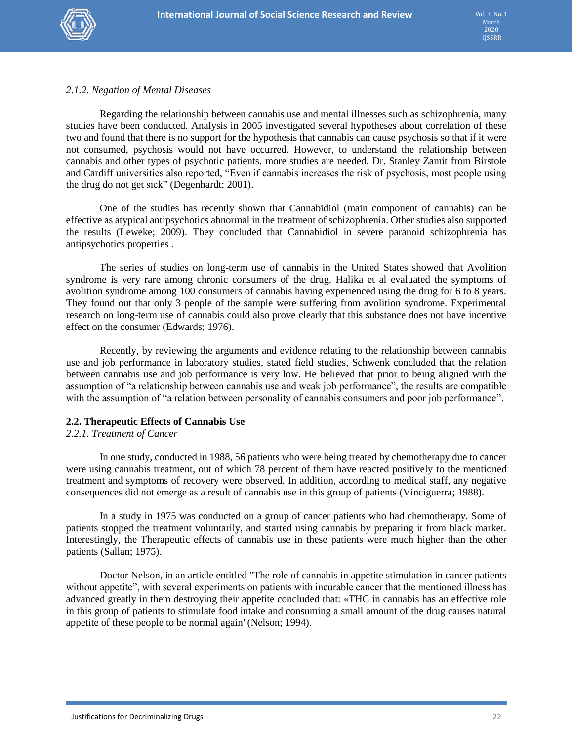

# *2.1.2. Negation of Mental Diseases*

Regarding the relationship between cannabis use and mental illnesses such as schizophrenia, many studies have been conducted. Analysis in 2005 investigated several hypotheses about correlation of these two and found that there is no support for the hypothesis that cannabis can cause psychosis so that if it were not consumed, psychosis would not have occurred. However, to understand the relationship between cannabis and other types of psychotic patients, more studies are needed. Dr. Stanley Zamit from Birstole and Cardiff universities also reported, "Even if cannabis increases the risk of psychosis, most people using the drug do not get sick" (Degenhardt; 2001).

One of the studies has recently shown that Cannabidiol (main component of cannabis) can be effective as atypical antipsychotics abnormal in the treatment of schizophrenia. Other studies also supported the results (Leweke; 2009). They concluded that Cannabidiol in severe paranoid schizophrenia has antipsychotics properties .

The series of studies on long-term use of cannabis in the United States showed that Avolition syndrome is very rare among chronic consumers of the drug. Halika et al evaluated the symptoms of avolition syndrome among 100 consumers of cannabis having experienced using the drug for 6 to 8 years. They found out that only 3 people of the sample were suffering from avolition syndrome. Experimental research on long-term use of cannabis could also prove clearly that this substance does not have incentive effect on the consumer (Edwards; 1976).

Recently, by reviewing the arguments and evidence relating to the relationship between cannabis use and job performance in laboratory studies, stated field studies, Schwenk concluded that the relation between cannabis use and job performance is very low. He believed that prior to being aligned with the assumption of "a relationship between cannabis use and weak job performance", the results are compatible with the assumption of "a relation between personality of cannabis consumers and poor job performance".

# **2.2. Therapeutic Effects of Cannabis Use**

# *2.2.1. Treatment of Cancer*

In one study, conducted in 1988, 56 patients who were being treated by chemotherapy due to cancer were using cannabis treatment, out of which 78 percent of them have reacted positively to the mentioned treatment and symptoms of recovery were observed. In addition, according to medical staff, any negative consequences did not emerge as a result of cannabis use in this group of patients (Vinciguerra; 1988).

In a study in 1975 was conducted on a group of cancer patients who had chemotherapy. Some of patients stopped the treatment voluntarily, and started using cannabis by preparing it from black market. Interestingly, the Therapeutic effects of cannabis use in these patients were much higher than the other patients (Sallan; 1975).

Doctor Nelson, in an article entitled "The role of cannabis in appetite stimulation in cancer patients without appetite", with several experiments on patients with incurable cancer that the mentioned illness has advanced greatly in them destroying their appetite concluded that: «THC in cannabis has an effective role in this group of patients to stimulate food intake and consuming a small amount of the drug causes natural appetite of these people to be normal again"(Nelson; 1994).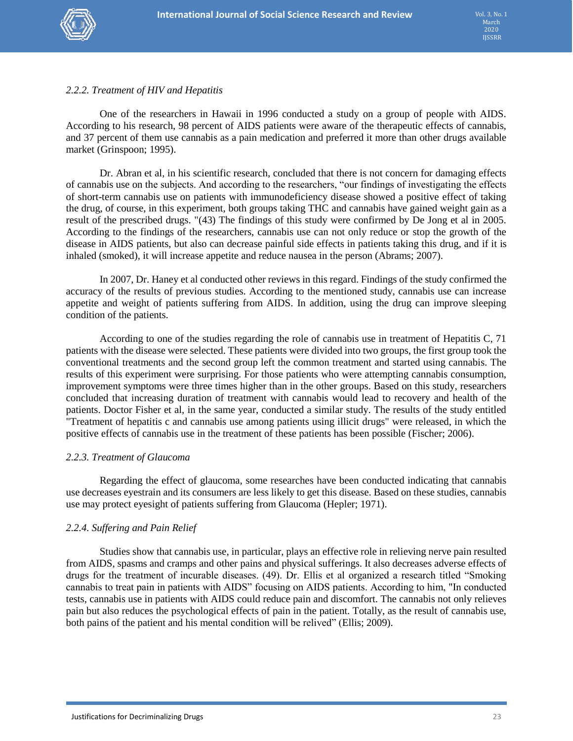# *2.2.2. Treatment of HIV and Hepatitis*

One of the researchers in Hawaii in 1996 conducted a study on a group of people with AIDS. According to his research, 98 percent of AIDS patients were aware of the therapeutic effects of cannabis, and 37 percent of them use cannabis as a pain medication and preferred it more than other drugs available market (Grinspoon; 1995).

Dr. Abran et al, in his scientific research, concluded that there is not concern for damaging effects of cannabis use on the subjects. And according to the researchers, "our findings of investigating the effects of short-term cannabis use on patients with immunodeficiency disease showed a positive effect of taking the drug, of course, in this experiment, both groups taking THC and cannabis have gained weight gain as a result of the prescribed drugs. "(43) The findings of this study were confirmed by De Jong et al in 2005. According to the findings of the researchers, cannabis use can not only reduce or stop the growth of the disease in AIDS patients, but also can decrease painful side effects in patients taking this drug, and if it is inhaled (smoked), it will increase appetite and reduce nausea in the person (Abrams; 2007).

In 2007, Dr. Haney et al conducted other reviews in this regard. Findings of the study confirmed the accuracy of the results of previous studies. According to the mentioned study, cannabis use can increase appetite and weight of patients suffering from AIDS. In addition, using the drug can improve sleeping condition of the patients.

According to one of the studies regarding the role of cannabis use in treatment of Hepatitis C, 71 patients with the disease were selected. These patients were divided into two groups, the first group took the conventional treatments and the second group left the common treatment and started using cannabis. The results of this experiment were surprising. For those patients who were attempting cannabis consumption, improvement symptoms were three times higher than in the other groups. Based on this study, researchers concluded that increasing duration of treatment with cannabis would lead to recovery and health of the patients. Doctor Fisher et al, in the same year, conducted a similar study. The results of the study entitled "Treatment of hepatitis c and cannabis use among patients using illicit drugs" were released, in which the positive effects of cannabis use in the treatment of these patients has been possible (Fischer; 2006).

# *2.2.3. Treatment of Glaucoma*

Regarding the effect of glaucoma, some researches have been conducted indicating that cannabis use decreases eyestrain and its consumers are less likely to get this disease. Based on these studies, cannabis use may protect eyesight of patients suffering from Glaucoma (Hepler; 1971).

# *2.2.4. Suffering and Pain Relief*

Studies show that cannabis use, in particular, plays an effective role in relieving nerve pain resulted from AIDS, spasms and cramps and other pains and physical sufferings. It also decreases adverse effects of drugs for the treatment of incurable diseases. (49). Dr. Ellis et al organized a research titled "Smoking cannabis to treat pain in patients with AIDS" focusing on AIDS patients. According to him, "In conducted tests, cannabis use in patients with AIDS could reduce pain and discomfort. The cannabis not only relieves pain but also reduces the psychological effects of pain in the patient. Totally, as the result of cannabis use, both pains of the patient and his mental condition will be relived" (Ellis; 2009).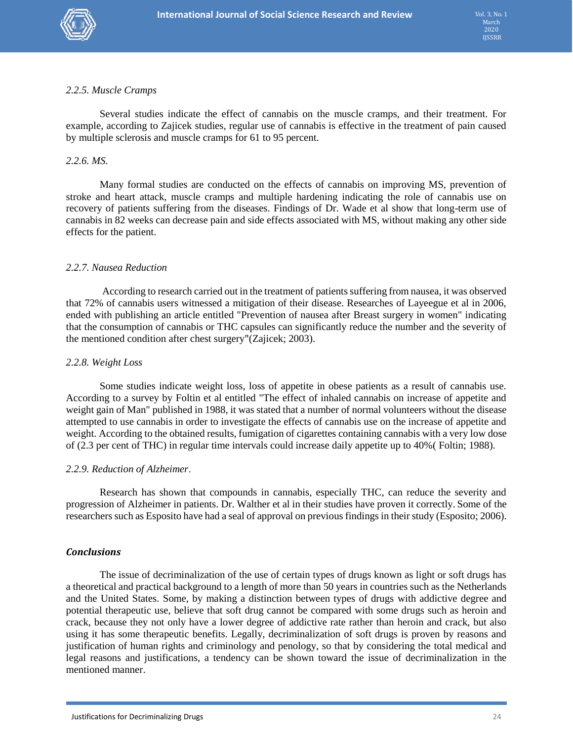

# *2.2.5. Muscle Cramps*

Several studies indicate the effect of cannabis on the muscle cramps, and their treatment. For example, according to Zajicek studies, regular use of cannabis is effective in the treatment of pain caused by multiple sclerosis and muscle cramps for 61 to 95 percent.

#### *2.2.6. MS.*

Many formal studies are conducted on the effects of cannabis on improving MS, prevention of stroke and heart attack, muscle cramps and multiple hardening indicating the role of cannabis use on recovery of patients suffering from the diseases. Findings of Dr. Wade et al show that long-term use of cannabis in 82 weeks can decrease pain and side effects associated with MS, without making any other side effects for the patient.

# *2.2.7. Nausea Reduction*

According to research carried out in the treatment of patients suffering from nausea, it was observed that 72% of cannabis users witnessed a mitigation of their disease. Researches of Layeegue et al in 2006, ended with publishing an article entitled "Prevention of nausea after Breast surgery in women" indicating that the consumption of cannabis or THC capsules can significantly reduce the number and the severity of the mentioned condition after chest surgery"(Zajicek; 2003).

#### *2.2.8. Weight Loss*

Some studies indicate weight loss, loss of appetite in obese patients as a result of cannabis use. According to a survey by Foltin et al entitled "The effect of inhaled cannabis on increase of appetite and weight gain of Man" published in 1988, it was stated that a number of normal volunteers without the disease attempted to use cannabis in order to investigate the effects of cannabis use on the increase of appetite and weight. According to the obtained results, fumigation of cigarettes containing cannabis with a very low dose of (2.3 per cent of THC) in regular time intervals could increase daily appetite up to 40%( Foltin; 1988).

#### *2.2.9. Reduction of Alzheimer*.

Research has shown that compounds in cannabis, especially THC, can reduce the severity and progression of Alzheimer in patients. Dr. Walther et al in their studies have proven it correctly. Some of the researchers such as Esposito have had a seal of approval on previous findings in their study (Esposito; 2006).

#### *Conclusions*

The issue of decriminalization of the use of certain types of drugs known as light or soft drugs has a theoretical and practical background to a length of more than 50 years in countries such as the Netherlands and the United States. Some, by making a distinction between types of drugs with addictive degree and potential therapeutic use, believe that soft drug cannot be compared with some drugs such as heroin and crack, because they not only have a lower degree of addictive rate rather than heroin and crack, but also using it has some therapeutic benefits. Legally, decriminalization of soft drugs is proven by reasons and justification of human rights and criminology and penology, so that by considering the total medical and legal reasons and justifications, a tendency can be shown toward the issue of decriminalization in the mentioned manner.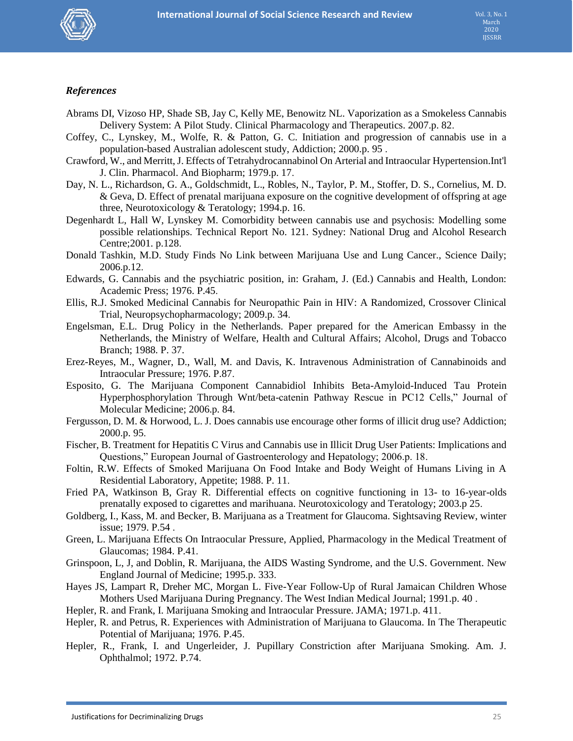

# *References*

- Abrams DI, Vizoso HP, Shade SB, Jay C, Kelly ME, Benowitz NL. Vaporization as a Smokeless Cannabis Delivery System: A Pilot Study. Clinical Pharmacology and Therapeutics. 2007.p. 82.
- Coffey, C., Lynskey, M., Wolfe, R. & Patton, G. C. Initiation and progression of cannabis use in a population-based Australian adolescent study, Addiction; 2000.p. 95 .
- Crawford, W., and Merritt, J. Effects of Tetrahydrocannabinol On Arterial and Intraocular Hypertension.Int'l J. Clin. Pharmacol. And Biopharm; 1979.p. 17.
- Day, N. L., Richardson, G. A., Goldschmidt, L., Robles, N., Taylor, P. M., Stoffer, D. S., Cornelius, M. D. & Geva, D. Effect of prenatal marijuana exposure on the cognitive development of offspring at age three, Neurotoxicology & Teratology; 1994.p. 16.
- Degenhardt L, Hall W, Lynskey M. Comorbidity between cannabis use and psychosis: Modelling some possible relationships. Technical Report No. 121. Sydney: National Drug and Alcohol Research Centre;2001. p.128.
- Donald Tashkin, M.D. Study Finds No Link between Marijuana Use and Lung Cancer., Science Daily; 2006.p.12.
- Edwards, G. Cannabis and the psychiatric position, in: Graham, J. (Ed.) Cannabis and Health, London: Academic Press; 1976. P.45.
- Ellis, R.J. Smoked Medicinal Cannabis for Neuropathic Pain in HIV: A Randomized, Crossover Clinical Trial, Neuropsychopharmacology; 2009.p. 34.
- Engelsman, E.L. Drug Policy in the Netherlands. Paper prepared for the American Embassy in the Netherlands, the Ministry of Welfare, Health and Cultural Affairs; Alcohol, Drugs and Tobacco Branch; 1988. P. 37.
- Erez-Reyes, M., Wagner, D., Wall, M. and Davis, K. Intravenous Administration of Cannabinoids and Intraocular Pressure; 1976. P.87.
- Esposito, G. The Marijuana Component Cannabidiol Inhibits Beta-Amyloid-Induced Tau Protein Hyperphosphorylation Through Wnt/beta-catenin Pathway Rescue in PC12 Cells," Journal of Molecular Medicine; 2006.p. 84.
- Fergusson, D. M. & Horwood, L. J. Does cannabis use encourage other forms of illicit drug use? Addiction; 2000.p. 95.
- Fischer, B. Treatment for Hepatitis C Virus and Cannabis use in Illicit Drug User Patients: Implications and Questions," European Journal of Gastroenterology and Hepatology; 2006.p. 18.
- Foltin, R.W. Effects of Smoked Marijuana On Food Intake and Body Weight of Humans Living in A Residential Laboratory, Appetite; 1988. P. 11.
- Fried PA, Watkinson B, Gray R. Differential effects on cognitive functioning in 13- to 16-year-olds prenatally exposed to cigarettes and marihuana. Neurotoxicology and Teratology; 2003.p 25.
- Goldberg, I., Kass, M. and Becker, B. Marijuana as a Treatment for Glaucoma. Sightsaving Review, winter issue; 1979. P.54 .
- Green, L. Marijuana Effects On Intraocular Pressure, Applied, Pharmacology in the Medical Treatment of Glaucomas; 1984. P.41.
- Grinspoon, L, J, and Doblin, R. Marijuana, the AIDS Wasting Syndrome, and the U.S. Government. New England Journal of Medicine; 1995.p. 333.
- Hayes JS, Lampart R, Dreher MC, Morgan L. Five-Year Follow-Up of Rural Jamaican Children Whose Mothers Used Marijuana During Pregnancy. The West Indian Medical Journal; 1991.p. 40 .
- Hepler, R. and Frank, I. Marijuana Smoking and Intraocular Pressure. JAMA; 1971.p. 411.
- Hepler, R. and Petrus, R. Experiences with Administration of Marijuana to Glaucoma. In The Therapeutic Potential of Marijuana; 1976. P.45.
- Hepler, R., Frank, I. and Ungerleider, J. Pupillary Constriction after Marijuana Smoking. Am. J. Ophthalmol; 1972. P.74.